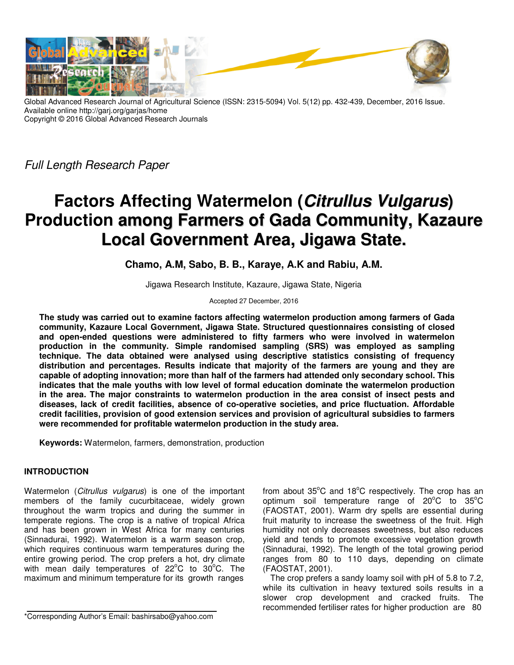

Global Advanced Research Journal of Agricultural Science (ISSN: 2315-5094) Vol. 5(12) pp. 432-439, December, 2016 Issue. Available online http://garj.org/garjas/home Copyright © 2016 Global Advanced Research Journals

Full Length Research Paper

# **Factors Affecting Watermelon (Citrullus Vulgarus) Production among Farmers of Gada Community, Kazaure Local Government Area, Jigawa State.**

**Chamo, A.M, Sabo, B. B., Karaye, A.K and Rabiu, A.M.** 

Jigawa Research Institute, Kazaure, Jigawa State, Nigeria

Accepted 27 December, 2016

**The study was carried out to examine factors affecting watermelon production among farmers of Gada community, Kazaure Local Government, Jigawa State. Structured questionnaires consisting of closed and open-ended questions were administered to fifty farmers who were involved in watermelon production in the community. Simple randomised sampling (SRS) was employed as sampling technique. The data obtained were analysed using descriptive statistics consisting of frequency distribution and percentages. Results indicate that majority of the farmers are young and they are capable of adopting innovation; more than half of the farmers had attended only secondary school. This indicates that the male youths with low level of formal education dominate the watermelon production in the area. The major constraints to watermelon production in the area consist of insect pests and diseases, lack of credit facilities, absence of co-operative societies, and price fluctuation. Affordable credit facilities, provision of good extension services and provision of agricultural subsidies to farmers were recommended for profitable watermelon production in the study area.** 

**Keywords:** Watermelon, farmers, demonstration, production

# **INTRODUCTION**

Watermelon (Citrullus vulgarus) is one of the important members of the family cucurbitaceae, widely grown throughout the warm tropics and during the summer in temperate regions. The crop is a native of tropical Africa and has been grown in West Africa for many centuries (Sinnadurai, 1992). Watermelon is a warm season crop, which requires continuous warm temperatures during the entire growing period. The crop prefers a hot, dry climate with mean daily temperatures of  $22^{\circ}$ C to  $30^{\circ}$ C. The maximum and minimum temperature for its growth ranges

\*Corresponding Author's Email: bashirsabo@yahoo.com

from about  $35^{\circ}$ C and  $18^{\circ}$ C respectively. The crop has an optimum soil temperature range of  $20^{\circ}$ C to  $35^{\circ}$ C (FAOSTAT, 2001). Warm dry spells are essential during fruit maturity to increase the sweetness of the fruit. High humidity not only decreases sweetness, but also reduces yield and tends to promote excessive vegetation growth (Sinnadurai, 1992). The length of the total growing period ranges from 80 to 110 days, depending on climate (FAOSTAT, 2001).

The crop prefers a sandy loamy soil with pH of 5.8 to 7.2, while its cultivation in heavy textured soils results in a slower crop development and cracked fruits. The recommended fertiliser rates for higher production are 80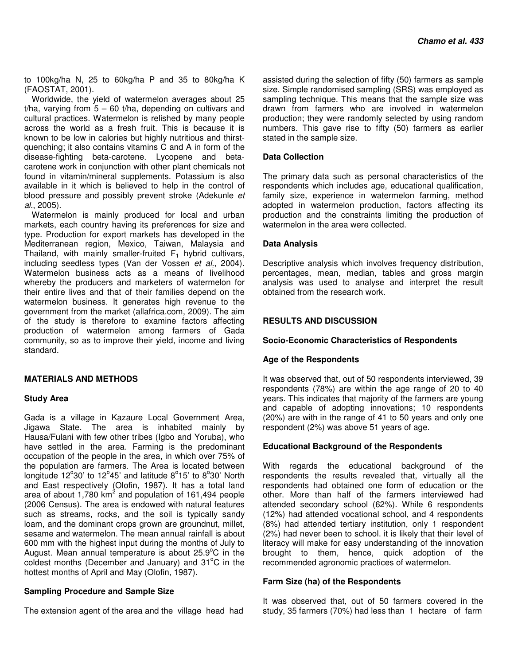to 100kg/ha N, 25 to 60kg/ha P and 35 to 80kg/ha K (FAOSTAT, 2001).

Worldwide, the yield of watermelon averages about 25 t/ha, varying from  $5 - 60$  t/ha, depending on cultivars and cultural practices. Watermelon is relished by many people across the world as a fresh fruit. This is because it is known to be low in calories but highly nutritious and thirstquenching; it also contains vitamins C and A in form of the disease-fighting beta-carotene. Lycopene and betacarotene work in conjunction with other plant chemicals not found in vitamin/mineral supplements. Potassium is also available in it which is believed to help in the control of blood pressure and possibly prevent stroke (Adekunle et al., 2005).

Watermelon is mainly produced for local and urban markets, each country having its preferences for size and type. Production for export markets has developed in the Mediterranean region, Mexico, Taiwan, Malaysia and Thailand, with mainly smaller-fruited  $F_1$  hybrid cultivars, including seedless types (Van der Vossen et al., 2004). Watermelon business acts as a means of livelihood whereby the producers and marketers of watermelon for their entire lives and that of their families depend on the watermelon business. It generates high revenue to the government from the market (allafrica.com, 2009). The aim of the study is therefore to examine factors affecting production of watermelon among farmers of Gada community, so as to improve their yield, income and living standard.

## **MATERIALS AND METHODS**

## **Study Area**

Gada is a village in Kazaure Local Government Area, Jigawa State. The area is inhabited mainly by Hausa/Fulani with few other tribes (Igbo and Yoruba), who have settled in the area. Farming is the predominant occupation of the people in the area, in which over 75% of the population are farmers. The Area is located between longitude  $12^{\circ}30'$  to  $12^{\circ}45'$  and latitude  $8^{\circ}15'$  to  $8^{\circ}30'$  North and East respectively (Olofin, 1987). It has a total land area of about 1,780  $km^2$  and population of 161,494 people (2006 Census). The area is endowed with natural features such as streams, rocks, and the soil is typically sandy loam, and the dominant crops grown are groundnut, millet, sesame and watermelon. The mean annual rainfall is about 600 mm with the highest input during the months of July to August. Mean annual temperature is about  $25.9^{\circ}$ C in the coldest months (December and January) and  $31^{\circ}$ C in the hottest months of April and May (Olofin, 1987).

## **Sampling Procedure and Sample Size**

The extension agent of the area and the village head had

assisted during the selection of fifty (50) farmers as sample size. Simple randomised sampling (SRS) was employed as sampling technique. This means that the sample size was drawn from farmers who are involved in watermelon production; they were randomly selected by using random numbers. This gave rise to fifty (50) farmers as earlier stated in the sample size.

# **Data Collection**

The primary data such as personal characteristics of the respondents which includes age, educational qualification, family size, experience in watermelon farming, method adopted in watermelon production, factors affecting its production and the constraints limiting the production of watermelon in the area were collected.

## **Data Analysis**

Descriptive analysis which involves frequency distribution, percentages, mean, median, tables and gross margin analysis was used to analyse and interpret the result obtained from the research work.

# **RESULTS AND DISCUSSION**

## **Socio-Economic Characteristics of Respondents**

## **Age of the Respondents**

It was observed that, out of 50 respondents interviewed, 39 respondents (78%) are within the age range of 20 to 40 years. This indicates that majority of the farmers are young and capable of adopting innovations; 10 respondents (20%) are with in the range of 41 to 50 years and only one respondent (2%) was above 51 years of age.

## **Educational Background of the Respondents**

With regards the educational background of the respondents the results revealed that, virtually all the respondents had obtained one form of education or the other. More than half of the farmers interviewed had attended secondary school (62%). While 6 respondents (12%) had attended vocational school, and 4 respondents (8%) had attended tertiary institution, only 1 respondent (2%) had never been to school. it is likely that their level of literacy will make for easy understanding of the innovation brought to them, hence, quick adoption of the recommended agronomic practices of watermelon.

## **Farm Size (ha) of the Respondents**

It was observed that, out of 50 farmers covered in the study, 35 farmers (70%) had less than 1 hectare of farm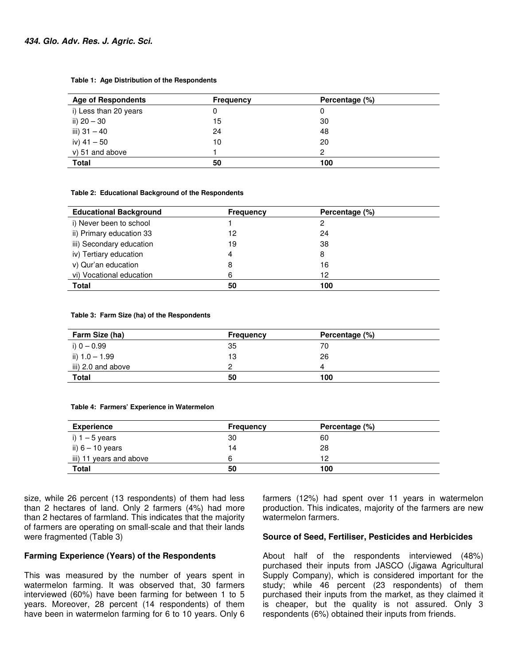#### **Table 1: Age Distribution of the Respondents**

| <b>Age of Respondents</b> | Frequency | Percentage (%) |
|---------------------------|-----------|----------------|
| i) Less than 20 years     |           | O              |
| ii) 20 - 30               | 15        | 30             |
| iii) $31 - 40$            | 24        | 48             |
| iv) $41 - 50$             | 10        | 20             |
| v) 51 and above           |           | 2              |
| <b>Total</b>              | 50        | 100            |

#### **Table 2: Educational Background of the Respondents**

| <b>Educational Background</b> | <b>Frequency</b> | Percentage (%) |
|-------------------------------|------------------|----------------|
| i) Never been to school       |                  | 2              |
| ii) Primary education 33      | 12               | 24             |
| iii) Secondary education      | 19               | 38             |
| iv) Tertiary education        | 4                | 8              |
| v) Qur'an education           | 8                | 16             |
| vi) Vocational education      | 6                | 12             |
| <b>Total</b>                  | 50               | 100            |

#### **Table 3: Farm Size (ha) of the Respondents**

| Farm Size (ha)     | <b>Frequency</b> | Percentage (%) |
|--------------------|------------------|----------------|
| i) 0 – 0.99        | 35               | 70             |
| ii) 1.0 - 1.99     | 13               | 26             |
| iii) 2.0 and above | っ                |                |
| <b>Total</b>       | 50               | 100            |

#### **Table 4: Farmers' Experience in Watermelon**

| <b>Experience</b>       | <b>Frequency</b> | Percentage (%) |
|-------------------------|------------------|----------------|
| i) 1 – 5 years          | 30               | 60             |
| ii) $6 - 10$ years      | 14               | 28             |
| iii) 11 years and above | 6                | 12             |
| <b>Total</b>            | 50               | 100            |

size, while 26 percent (13 respondents) of them had less than 2 hectares of land. Only 2 farmers (4%) had more than 2 hectares of farmland. This indicates that the majority of farmers are operating on small-scale and that their lands were fragmented (Table 3)

#### **Farming Experience (Years) of the Respondents**

This was measured by the number of years spent in watermelon farming. It was observed that, 30 farmers interviewed (60%) have been farming for between 1 to 5 years. Moreover, 28 percent (14 respondents) of them have been in watermelon farming for 6 to 10 years. Only 6

farmers (12%) had spent over 11 years in watermelon production. This indicates, majority of the farmers are new watermelon farmers.

#### **Source of Seed, Fertiliser, Pesticides and Herbicides**

About half of the respondents interviewed (48%) purchased their inputs from JASCO (Jigawa Agricultural Supply Company), which is considered important for the study; while 46 percent (23 respondents) of them purchased their inputs from the market, as they claimed it is cheaper, but the quality is not assured. Only 3 respondents (6%) obtained their inputs from friends.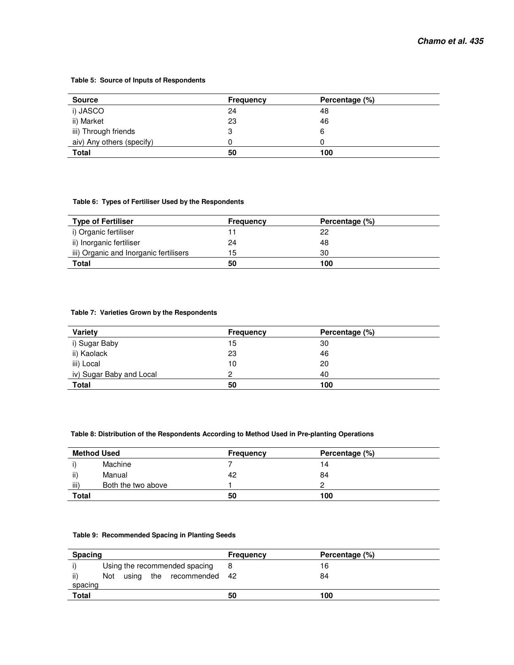#### **Table 5: Source of Inputs of Respondents**

| <b>Source</b>             | Frequency | Percentage (%) |
|---------------------------|-----------|----------------|
| i) JASCO                  | 24        | 48             |
| ii) Market                | 23        | 46             |
| iii) Through friends      | 3         |                |
| aiv) Any others (specify) |           |                |
| <b>Total</b>              | 50        | 100            |

#### **Table 6: Types of Fertiliser Used by the Respondents**

| <b>Type of Fertiliser</b>              | <b>Frequency</b> | Percentage (%) |  |
|----------------------------------------|------------------|----------------|--|
| i) Organic fertiliser                  |                  | 22             |  |
| ii) Inorganic fertiliser               | 24               | 48             |  |
| iii) Organic and Inorganic fertilisers | 15               | 30             |  |
| Total                                  | 50               | 100            |  |

#### **Table 7: Varieties Grown by the Respondents**

| <b>Variety</b>           | <b>Frequency</b> | Percentage (%) |
|--------------------------|------------------|----------------|
| i) Sugar Baby            | 15               | 30             |
| ii) Kaolack              | 23               | 46             |
| iii) Local               | 10               | 20             |
| iv) Sugar Baby and Local | 2                | 40             |
| <b>Total</b>             | 50               | 100            |

#### **Table 8: Distribution of the Respondents According to Method Used in Pre-planting Operations**

| <b>Method Used</b> |                    | Frequency | Percentage (%) |  |
|--------------------|--------------------|-----------|----------------|--|
|                    | Machine            |           | 14             |  |
| ii)                | Manual             | 42        | 84             |  |
| iii)               | Both the two above |           |                |  |
| <b>Total</b>       |                    | 50        | 100            |  |

#### **Table 9: Recommended Spacing in Planting Seeds**

| Spacing |     |  |                               | <b>Frequency</b> | Percentage (%) |  |
|---------|-----|--|-------------------------------|------------------|----------------|--|
|         |     |  | Using the recommended spacing |                  | 16             |  |
| ii)     | Not |  | using the recommended 42      |                  | 84             |  |
| spacing |     |  |                               |                  |                |  |
| Total   |     |  |                               | 50               | 100            |  |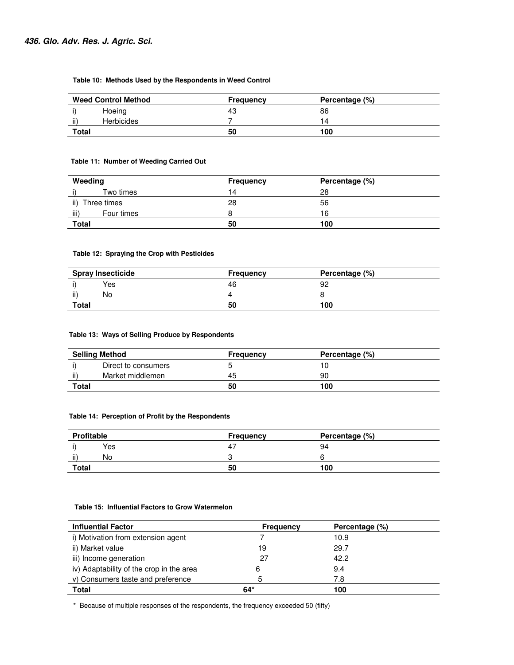#### **Table 10: Methods Used by the Respondents in Weed Control**

| <b>Weed Control Method</b> | <b>Frequency</b> | Percentage (%) |  |
|----------------------------|------------------|----------------|--|
| Hoeing                     | -43              | 86             |  |
| <br><b>Herbicides</b><br>Ш |                  | 14             |  |
| Total                      | 50               | 100            |  |

#### **Table 11: Number of Weeding Carried Out**

| Weeding             | <b>Frequency</b> | Percentage (%) |
|---------------------|------------------|----------------|
| Two times           | 14.              | 28             |
| ii)<br>Three times  | 28               | 56             |
| -iii)<br>Four times |                  | 16             |
| <b>Total</b>        | 50               | 100            |

#### **Table 12: Spraying the Crop with Pesticides**

| <b>Spray Insecticide</b> |     | Frequency | Percentage (%) |
|--------------------------|-----|-----------|----------------|
|                          | Yes | 46        | 92             |
| $\cdots$<br>Ш            | No  |           |                |
| <b>Total</b>             |     | 50        | 100            |

#### **Table 13: Ways of Selling Produce by Respondents**

| <b>Selling Method</b> |                     | Percentage (%)<br>Frequency |     |  |
|-----------------------|---------------------|-----------------------------|-----|--|
|                       | Direct to consumers |                             |     |  |
| ii)                   | Market middlemen    | 45                          | 90  |  |
| Total                 |                     | 50                          | 100 |  |

#### **Table 14: Perception of Profit by the Respondents**

| <b>Profitable</b>               | <b>Frequency</b> | Percentage (%) |  |
|---------------------------------|------------------|----------------|--|
| Yes                             |                  | 94             |  |
| $\cdots$<br>$\mathbf{H}$<br>No. | ື                |                |  |
| Total                           | 50               | 100            |  |

#### **Table 15: Influential Factors to Grow Watermelon**

| <b>Influential Factor</b>                | Frequency | Percentage (%) |  |
|------------------------------------------|-----------|----------------|--|
| i) Motivation from extension agent       |           | 10.9           |  |
| ii) Market value                         | 19        | 29.7           |  |
| iii) Income generation                   | 27        | 42.2           |  |
| iv) Adaptability of the crop in the area | 6         | 9.4            |  |
| v) Consumers taste and preference        | 5         | 7.8            |  |
| <b>Total</b>                             | 64*       | 100            |  |

\* Because of multiple responses of the respondents, the frequency exceeded 50 (fifty)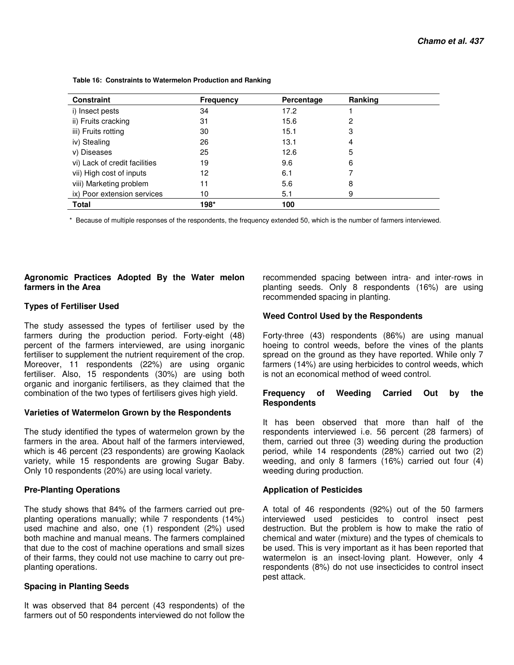| <b>Constraint</b>             | <b>Frequency</b> | Percentage | Ranking |  |
|-------------------------------|------------------|------------|---------|--|
| i) Insect pests               | 34               | 17.2       |         |  |
| ii) Fruits cracking           | 31               | 15.6       | 2       |  |
| iii) Fruits rotting           | 30               | 15.1       | 3       |  |
| iv) Stealing                  | 26               | 13.1       | 4       |  |
| v) Diseases                   | 25               | 12.6       | 5       |  |
| vi) Lack of credit facilities | 19               | 9.6        | 6       |  |
| vii) High cost of inputs      | 12               | 6.1        |         |  |
| viii) Marketing problem       | 11               | 5.6        | 8       |  |
| ix) Poor extension services   | 10               | 5.1        | 9       |  |
| <b>Total</b>                  | 198*             | 100        |         |  |

 **Table 16: Constraints to Watermelon Production and Ranking** 

\* Because of multiple responses of the respondents, the frequency extended 50, which is the number of farmers interviewed.

#### **Agronomic Practices Adopted By the Water melon farmers in the Area**

## **Types of Fertiliser Used**

The study assessed the types of fertiliser used by the farmers during the production period. Forty-eight (48) percent of the farmers interviewed, are using inorganic fertiliser to supplement the nutrient requirement of the crop. Moreover, 11 respondents (22%) are using organic fertiliser. Also, 15 respondents (30%) are using both organic and inorganic fertilisers, as they claimed that the combination of the two types of fertilisers gives high yield.

## **Varieties of Watermelon Grown by the Respondents**

The study identified the types of watermelon grown by the farmers in the area. About half of the farmers interviewed, which is 46 percent (23 respondents) are growing Kaolack variety, while 15 respondents are growing Sugar Baby. Only 10 respondents (20%) are using local variety.

## **Pre-Planting Operations**

The study shows that 84% of the farmers carried out preplanting operations manually; while 7 respondents (14%) used machine and also, one (1) respondent (2%) used both machine and manual means. The farmers complained that due to the cost of machine operations and small sizes of their farms, they could not use machine to carry out preplanting operations.

## **Spacing in Planting Seeds**

It was observed that 84 percent (43 respondents) of the farmers out of 50 respondents interviewed do not follow the

recommended spacing between intra- and inter-rows in planting seeds. Only 8 respondents (16%) are using recommended spacing in planting.

# **Weed Control Used by the Respondents**

Forty-three (43) respondents (86%) are using manual hoeing to control weeds, before the vines of the plants spread on the ground as they have reported. While only 7 farmers (14%) are using herbicides to control weeds, which is not an economical method of weed control.

## **Frequency of Weeding Carried Out by the Respondents**

It has been observed that more than half of the respondents interviewed i.e. 56 percent (28 farmers) of them, carried out three (3) weeding during the production period, while 14 respondents (28%) carried out two (2) weeding, and only 8 farmers (16%) carried out four (4) weeding during production.

## **Application of Pesticides**

A total of 46 respondents (92%) out of the 50 farmers interviewed used pesticides to control insect pest destruction. But the problem is how to make the ratio of chemical and water (mixture) and the types of chemicals to be used. This is very important as it has been reported that watermelon is an insect-loving plant. However, only 4 respondents (8%) do not use insecticides to control insect pest attack.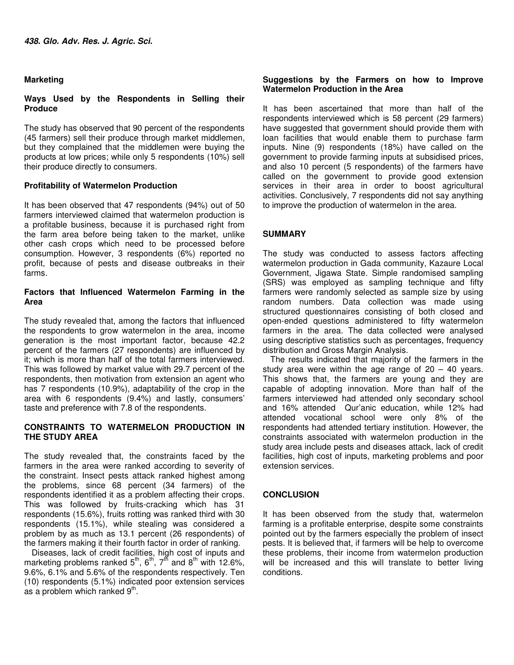# **Marketing**

# **Ways Used by the Respondents in Selling their Produce**

The study has observed that 90 percent of the respondents (45 farmers) sell their produce through market middlemen, but they complained that the middlemen were buying the products at low prices; while only 5 respondents (10%) sell their produce directly to consumers.

## **Profitability of Watermelon Production**

It has been observed that 47 respondents (94%) out of 50 farmers interviewed claimed that watermelon production is a profitable business, because it is purchased right from the farm area before being taken to the market, unlike other cash crops which need to be processed before consumption. However, 3 respondents (6%) reported no profit, because of pests and disease outbreaks in their farms.

# **Factors that Influenced Watermelon Farming in the Area**

The study revealed that, among the factors that influenced the respondents to grow watermelon in the area, income generation is the most important factor, because 42.2 percent of the farmers (27 respondents) are influenced by it; which is more than half of the total farmers interviewed. This was followed by market value with 29.7 percent of the respondents, then motivation from extension an agent who has 7 respondents (10.9%), adaptability of the crop in the area with 6 respondents (9.4%) and lastly, consumers' taste and preference with 7.8 of the respondents.

## **CONSTRAINTS TO WATERMELON PRODUCTION IN THE STUDY AREA**

The study revealed that, the constraints faced by the farmers in the area were ranked according to severity of the constraint. Insect pests attack ranked highest among the problems, since 68 percent (34 farmers) of the respondents identified it as a problem affecting their crops. This was followed by fruits-cracking which has 31 respondents (15.6%), fruits rotting was ranked third with 30 respondents (15.1%), while stealing was considered a problem by as much as 13.1 percent (26 respondents) of the farmers making it their fourth factor in order of ranking.

Diseases, lack of credit facilities, high cost of inputs and marketing problems ranked  $5^{th}$ ,  $6^{th}$ ,  $7^{th}$  and  $8^{th}$  with 12.6%, 9.6%, 6.1% and 5.6% of the respondents respectively. Ten (10) respondents (5.1%) indicated poor extension services as a problem which ranked  $9<sup>th</sup>$ .

# **Suggestions by the Farmers on how to Improve Watermelon Production in the Area**

It has been ascertained that more than half of the respondents interviewed which is 58 percent (29 farmers) have suggested that government should provide them with loan facilities that would enable them to purchase farm inputs. Nine (9) respondents (18%) have called on the government to provide farming inputs at subsidised prices, and also 10 percent (5 respondents) of the farmers have called on the government to provide good extension services in their area in order to boost agricultural activities. Conclusively, 7 respondents did not say anything to improve the production of watermelon in the area.

# **SUMMARY**

The study was conducted to assess factors affecting watermelon production in Gada community, Kazaure Local Government, Jigawa State. Simple randomised sampling (SRS) was employed as sampling technique and fifty farmers were randomly selected as sample size by using random numbers. Data collection was made using structured questionnaires consisting of both closed and open-ended questions administered to fifty watermelon farmers in the area. The data collected were analysed using descriptive statistics such as percentages, frequency distribution and Gross Margin Analysis.

The results indicated that majority of the farmers in the study area were within the age range of  $20 - 40$  years. This shows that, the farmers are young and they are capable of adopting innovation. More than half of the farmers interviewed had attended only secondary school and 16% attended Qur'anic education, while 12% had attended vocational school were only 8% of the respondents had attended tertiary institution. However, the constraints associated with watermelon production in the study area include pests and diseases attack, lack of credit facilities, high cost of inputs, marketing problems and poor extension services.

# **CONCLUSION**

It has been observed from the study that, watermelon farming is a profitable enterprise, despite some constraints pointed out by the farmers especially the problem of insect pests. It is believed that, if farmers will be help to overcome these problems, their income from watermelon production will be increased and this will translate to better living conditions.